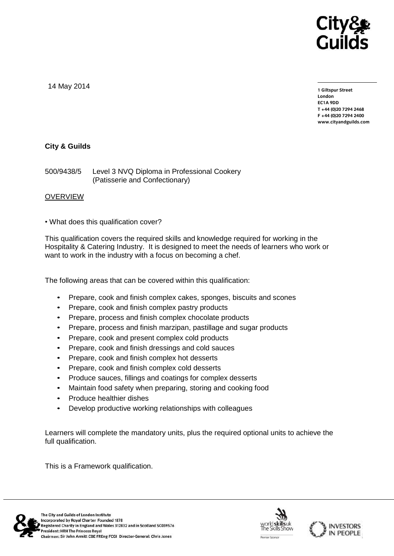

14 May 2014

**1 Giltspur Street EC1A 9DD** T +44 (0) 20 7 294 2468 **T +44 (0)20 7294 2468 F +44 (0)20 7294 2400 [www.cityandguilds.com](http://www.cityandguilds.com/)**

## **City & Guilds**

500/9438/5 Level 3 NVQ Diploma in Professional Cookery (Patisserie and Confectionary)

### **OVERVIEW**

• What does this qualification cover?

This qualification covers the required skills and knowledge required for working in the Hospitality & Catering Industry. It is designed to meet the needs of learners who work or want to work in the industry with a focus on becoming a chef.

The following areas that can be covered within this qualification:

- Prepare, cook and finish complex cakes, sponges, biscuits and scones
- Prepare, cook and finish complex pastry products
- Prepare, process and finish complex chocolate products
- Prepare, process and finish marzipan, pastillage and sugar products
- Prepare, cook and present complex cold products
- Prepare, cook and finish dressings and cold sauces
- Prepare, cook and finish complex hot desserts
- Prepare, cook and finish complex cold desserts
- Produce sauces, fillings and coatings for complex desserts
- Maintain food safety when preparing, storing and cooking food
- Produce healthier dishes
- Develop productive working relationships with colleagues

Learners will complete the mandatory units, plus the required optional units to achieve the full qualification.

This is a Framework qualification.